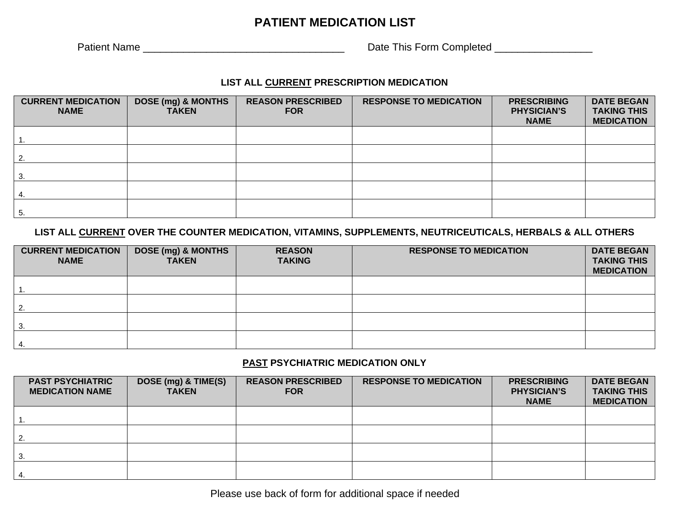## **PATIENT MEDICATION LIST**

Patient Name \_\_\_\_\_\_\_\_\_\_\_\_\_\_\_\_\_\_\_\_\_\_\_\_\_\_\_\_\_\_\_\_\_\_\_ Date This Form Completed \_\_\_\_\_\_\_\_\_\_\_\_\_\_\_\_\_

### **LIST ALL CURRENT PRESCRIPTION MEDICATION**

| <b>CURRENT MEDICATION</b><br><b>NAME</b> | <b>DOSE (mg) &amp; MONTHS</b><br><b>TAKEN</b> | <b>REASON PRESCRIBED</b><br><b>FOR</b> | <b>RESPONSE TO MEDICATION</b> | <b>PRESCRIBING</b><br><b>PHYSICIAN'S</b><br><b>NAME</b> | <b>DATE BEGAN</b><br><b>TAKING THIS</b><br><b>MEDICATION</b> |
|------------------------------------------|-----------------------------------------------|----------------------------------------|-------------------------------|---------------------------------------------------------|--------------------------------------------------------------|
|                                          |                                               |                                        |                               |                                                         |                                                              |
| $\overline{2}$                           |                                               |                                        |                               |                                                         |                                                              |
| 3.                                       |                                               |                                        |                               |                                                         |                                                              |
|                                          |                                               |                                        |                               |                                                         |                                                              |
| 5.                                       |                                               |                                        |                               |                                                         |                                                              |

### **LIST ALL CURRENT OVER THE COUNTER MEDICATION, VITAMINS, SUPPLEMENTS, NEUTRICEUTICALS, HERBALS & ALL OTHERS**

| <b>CURRENT MEDICATION</b><br><b>NAME</b> | DOSE (mg) & MONTHS<br><b>TAKEN</b> | <b>REASON</b><br><b>TAKING</b> | <b>RESPONSE TO MEDICATION</b> | <b>DATE BEGAN</b><br><b>TAKING THIS</b><br><b>MEDICATION</b> |
|------------------------------------------|------------------------------------|--------------------------------|-------------------------------|--------------------------------------------------------------|
|                                          |                                    |                                |                               |                                                              |
| $\overline{2}$                           |                                    |                                |                               |                                                              |
| -3.                                      |                                    |                                |                               |                                                              |
| 4.                                       |                                    |                                |                               |                                                              |

### **PAST PSYCHIATRIC MEDICATION ONLY**

| <b>PAST PSYCHIATRIC</b><br><b>MEDICATION NAME</b> | DOSE (mg) & TIME(S)<br><b>TAKEN</b> | <b>REASON PRESCRIBED</b><br><b>FOR</b> | <b>RESPONSE TO MEDICATION</b> | <b>PRESCRIBING</b><br><b>PHYSICIAN'S</b><br><b>NAME</b> | <b>DATE BEGAN</b><br><b>TAKING THIS</b><br><b>MEDICATION</b> |
|---------------------------------------------------|-------------------------------------|----------------------------------------|-------------------------------|---------------------------------------------------------|--------------------------------------------------------------|
|                                                   |                                     |                                        |                               |                                                         |                                                              |
| 2.                                                |                                     |                                        |                               |                                                         |                                                              |
| 3.                                                |                                     |                                        |                               |                                                         |                                                              |
|                                                   |                                     |                                        |                               |                                                         |                                                              |